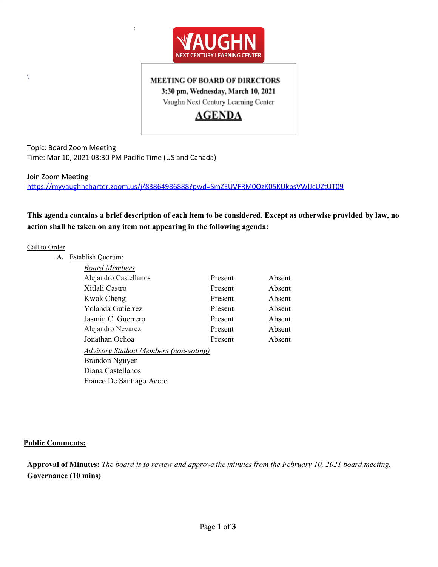

### **MEETING OF BOARD OF DIRECTORS**

3:30 pm, Wednesday, March 10, 2021

Vaughn Next Century Learning Center

# **AGENDA**

Topic: Board Zoom Meeting Time: Mar 10, 2021 03:30 PM Pacific Time (US and Canada)

:

Join Zoom Meeting <https://myvaughncharter.zoom.us/j/83864986888?pwd=SmZEUVFRM0QzK05KUkpsVWlJcUZtUT09>

This agenda contains a brief description of each item to be considered. Except as otherwise provided by law, no **action shall be taken on any item not appearing in the following agenda:**

### Call to Order

 $\setminus$ 

| А. | Establish Quorum:                            |         |        |
|----|----------------------------------------------|---------|--------|
|    | Board Members                                |         |        |
|    | Alejandro Castellanos                        | Present | Absent |
|    | Xitlali Castro                               | Present | Absent |
|    | <b>Kwok Cheng</b>                            | Present | Absent |
|    | Yolanda Gutierrez                            | Present | Absent |
|    | Jasmin C. Guerrero                           | Present | Absent |
|    | Alejandro Nevarez                            | Present | Absent |
|    | Jonathan Ochoa                               | Present | Absent |
|    | <b>Advisory Student Members (non-voting)</b> |         |        |
|    | Brandon Nguyen                               |         |        |
|    | Diana Castellanos                            |         |        |
|    | Franco De Santiago Acero                     |         |        |

### **Public Comments:**

Approval of Minutes: The board is to review and approve the minutes from the February 10, 2021 board meeting. **Governance (10 mins)**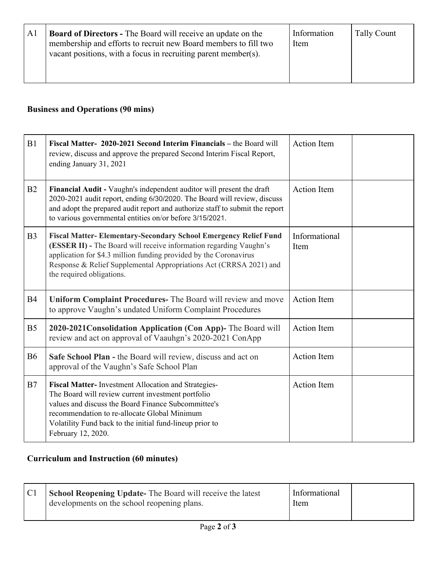| Al | <b>Board of Directors -</b> The Board will receive an update on the<br>membership and efforts to recruit new Board members to fill two<br>vacant positions, with a focus in recruiting parent member(s). | Information<br>Item | Tally Count |
|----|----------------------------------------------------------------------------------------------------------------------------------------------------------------------------------------------------------|---------------------|-------------|
|----|----------------------------------------------------------------------------------------------------------------------------------------------------------------------------------------------------------|---------------------|-------------|

## **Business and Operations (90 mins)**

| B1             | Fiscal Matter- 2020-2021 Second Interim Financials – the Board will<br>review, discuss and approve the prepared Second Interim Fiscal Report,<br>ending January 31, 2021                                                                                                                                             | <b>Action Item</b>    |
|----------------|----------------------------------------------------------------------------------------------------------------------------------------------------------------------------------------------------------------------------------------------------------------------------------------------------------------------|-----------------------|
| B2             | Financial Audit - Vaughn's independent auditor will present the draft<br>2020-2021 audit report, ending 6/30/2020. The Board will review, discuss<br>and adopt the prepared audit report and authorize staff to submit the report<br>to various governmental entities on/or before 3/15/2021.                        | <b>Action Item</b>    |
| B <sub>3</sub> | <b>Fiscal Matter-Elementary-Secondary School Emergency Relief Fund</b><br>(ESSER II) - The Board will receive information regarding Vaughn's<br>application for \$4.3 million funding provided by the Coronavirus<br>Response & Relief Supplemental Appropriations Act (CRRSA 2021) and<br>the required obligations. | Informational<br>Item |
| <b>B4</b>      | Uniform Complaint Procedures- The Board will review and move<br>to approve Vaughn's undated Uniform Complaint Procedures                                                                                                                                                                                             | <b>Action Item</b>    |
| B <sub>5</sub> | 2020-2021 Consolidation Application (Con App)- The Board will<br>review and act on approval of Vaauhgn's 2020-2021 ConApp                                                                                                                                                                                            | <b>Action Item</b>    |
| <b>B6</b>      | Safe School Plan - the Board will review, discuss and act on<br>approval of the Vaughn's Safe School Plan                                                                                                                                                                                                            | <b>Action Item</b>    |
| B7             | Fiscal Matter-Investment Allocation and Strategies-<br>The Board will review current investment portfolio<br>values and discuss the Board Finance Subcommittee's<br>recommendation to re-allocate Global Minimum<br>Volatility Fund back to the initial fund-lineup prior to<br>February 12, 2020.                   | <b>Action Item</b>    |

# **Curriculum and Instruction (60 minutes)**

| <b>School Reopening Update-</b> The Board will receive the latest<br>developments on the school reopening plans. | Informational<br>Item |  |
|------------------------------------------------------------------------------------------------------------------|-----------------------|--|
|                                                                                                                  |                       |  |